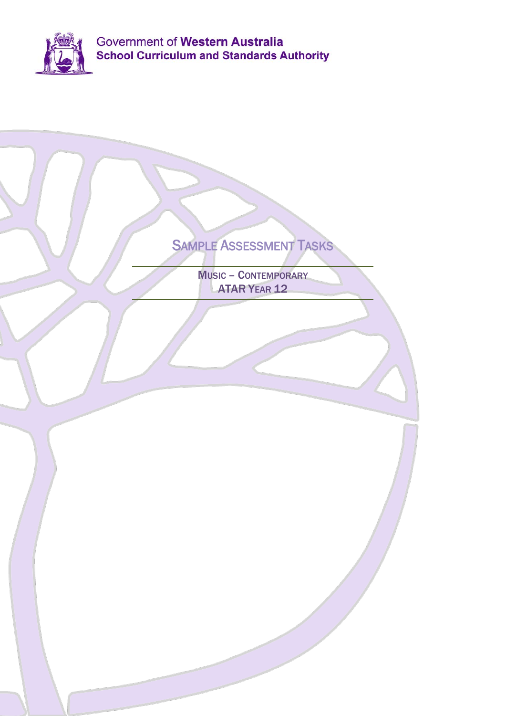

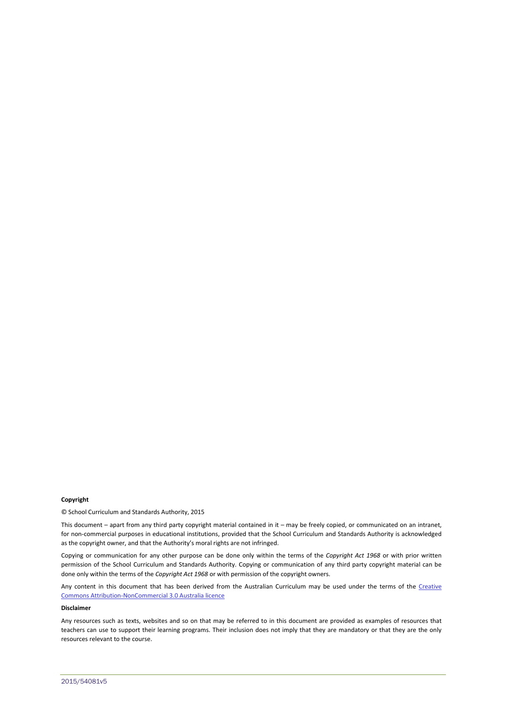#### **Copyright**

© School Curriculum and Standards Authority, 2015

This document – apart from any third party copyright material contained in it – may be freely copied, or communicated on an intranet, for non-commercial purposes in educational institutions, provided that the School Curriculum and Standards Authority is acknowledged as the copyright owner, and that the Authority's moral rights are not infringed.

Copying or communication for any other purpose can be done only within the terms of the *Copyright Act 1968* or with prior written permission of the School Curriculum and Standards Authority. Copying or communication of any third party copyright material can be done only within the terms of the *Copyright Act 1968* or with permission of the copyright owners.

Any content in this document that has been derived from the Australian Curriculum may be used under the terms of the Creative [Commons Attribution-NonCommercial 3.0 Australia licence](http://creativecommons.org/licenses/by-nc/3.0/au/)

#### **Disclaimer**

Any resources such as texts, websites and so on that may be referred to in this document are provided as examples of resources that teachers can use to support their learning programs. Their inclusion does not imply that they are mandatory or that they are the only resources relevant to the course.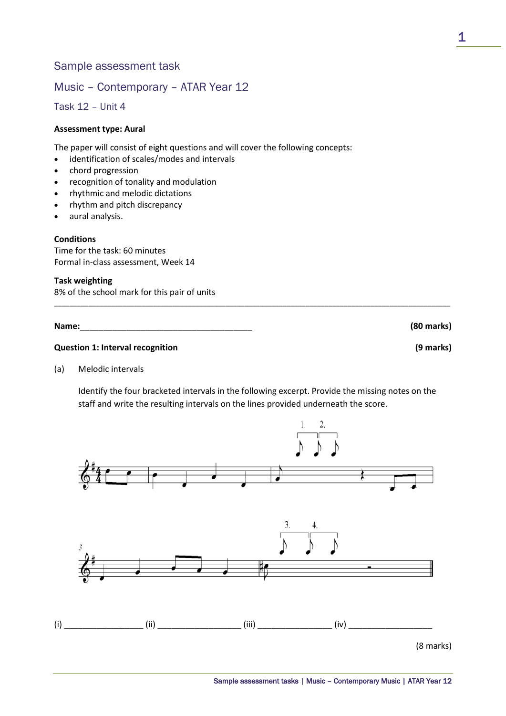# Sample assessment task

# Music – Contemporary – ATAR Year 12

Task 12 – Unit 4

#### **Assessment type: Aural**

The paper will consist of eight questions and will cover the following concepts:

- identification of scales/modes and intervals
- chord progression
- recognition of tonality and modulation
- rhythmic and melodic dictations
- rhythm and pitch discrepancy
- aural analysis.

### **Conditions**

Time for the task: 60 minutes Formal in-class assessment, Week 14

#### **Task weighting**

8% of the school mark for this pair of units

**Name:**\_\_\_\_\_\_\_\_\_\_\_\_\_\_\_\_\_\_\_\_\_\_\_\_\_\_\_\_\_\_\_\_\_\_\_\_\_ **(80 marks)** 

# **Question 1: Interval recognition (9 marks)**

(a) Melodic intervals

Identify the four bracketed intervals in the following excerpt. Provide the missing notes on the staff and write the resulting intervals on the lines provided underneath the score.

\_\_\_\_\_\_\_\_\_\_\_\_\_\_\_\_\_\_\_\_\_\_\_\_\_\_\_\_\_\_\_\_\_\_\_\_\_\_\_\_\_\_\_\_\_\_\_\_\_\_\_\_\_\_\_\_\_\_\_\_\_\_\_\_\_\_\_\_\_\_\_\_\_\_\_\_\_\_\_\_\_\_\_\_\_\_\_\_\_\_\_\_\_\_\_\_\_\_\_\_\_\_\_\_

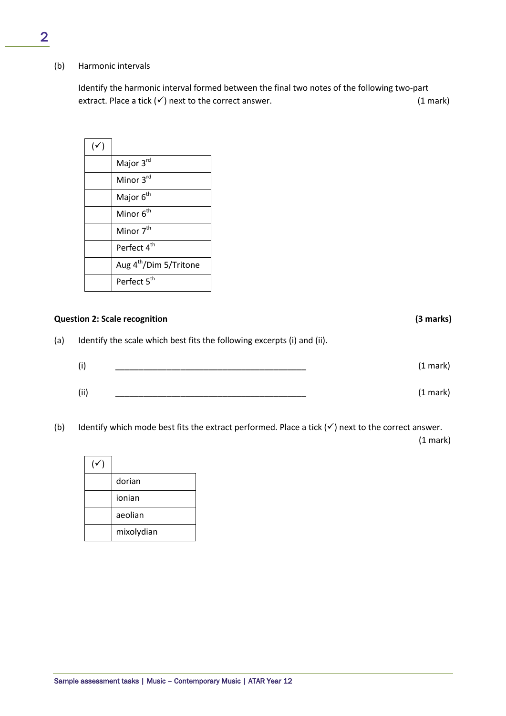(b) Harmonic intervals

Identify the harmonic interval formed between the final two notes of the following two-part extract. Place a tick  $(v)$  next to the correct answer. (1 mark)

| $(\checkmark)$ |                                    |
|----------------|------------------------------------|
|                | Major 3rd                          |
|                | Minor 3rd                          |
|                | Major 6 <sup>th</sup>              |
|                | Minor 6 <sup>th</sup>              |
|                | Minor 7 <sup>th</sup>              |
|                | Perfect 4 <sup>th</sup>            |
|                | Aug 4 <sup>th</sup> /Dim 5/Tritone |
|                | Perfect 5 <sup>th</sup>            |

# **Question 2: Scale recognition (3 marks)**

(a) Identify the scale which best fits the following excerpts (i) and (ii).

| (i)  | $(1$ mark) |
|------|------------|
| (ii) | $(1$ mark) |

(b) Identify which mode best fits the extract performed. Place a tick  $(v)$  next to the correct answer.

(1 mark)

| dorian     |
|------------|
| ionian     |
| aeolian    |
| mixolydian |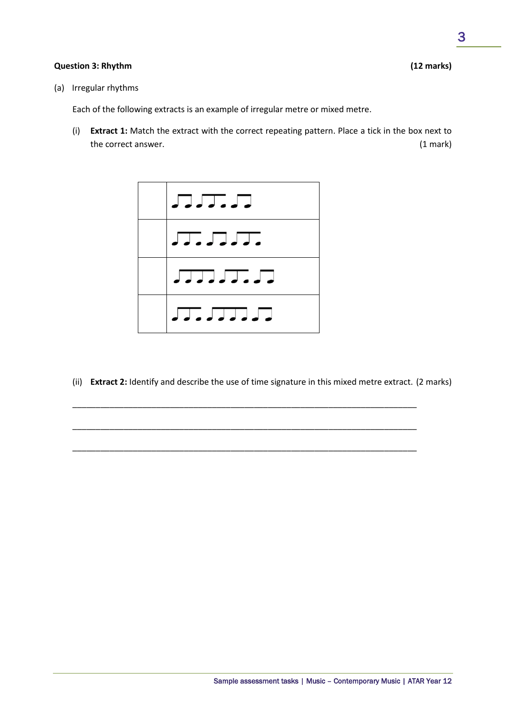# **Question 3: Rhythm (12 marks)**

(a) Irregular rhythms

Each of the following extracts is an example of irregular metre or mixed metre.

(i) **Extract 1:** Match the extract with the correct repeating pattern. Place a tick in the box next to the correct answer. (1 mark)



(ii) **Extract 2:** Identify and describe the use of time signature in this mixed metre extract. (2 marks)

\_\_\_\_\_\_\_\_\_\_\_\_\_\_\_\_\_\_\_\_\_\_\_\_\_\_\_\_\_\_\_\_\_\_\_\_\_\_\_\_\_\_\_\_\_\_\_\_\_\_\_\_\_\_\_\_\_\_\_\_\_\_\_\_\_\_\_\_\_\_\_\_\_\_

\_\_\_\_\_\_\_\_\_\_\_\_\_\_\_\_\_\_\_\_\_\_\_\_\_\_\_\_\_\_\_\_\_\_\_\_\_\_\_\_\_\_\_\_\_\_\_\_\_\_\_\_\_\_\_\_\_\_\_\_\_\_\_\_\_\_\_\_\_\_\_\_\_\_

\_\_\_\_\_\_\_\_\_\_\_\_\_\_\_\_\_\_\_\_\_\_\_\_\_\_\_\_\_\_\_\_\_\_\_\_\_\_\_\_\_\_\_\_\_\_\_\_\_\_\_\_\_\_\_\_\_\_\_\_\_\_\_\_\_\_\_\_\_\_\_\_\_\_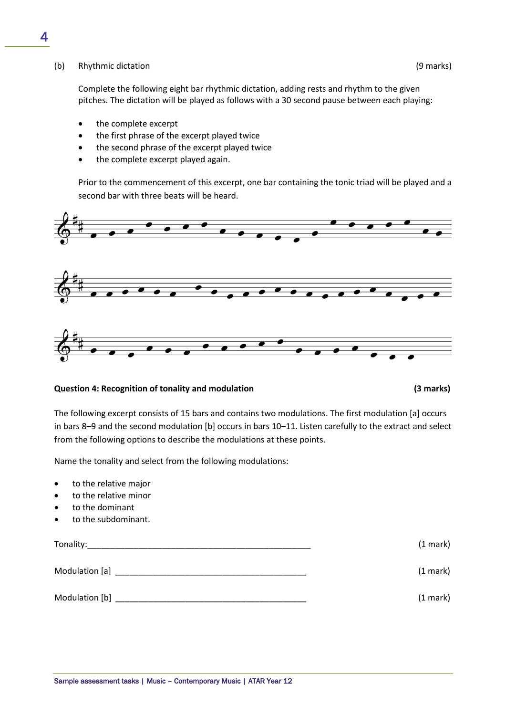#### (b) Rhythmic dictation (9 marks)

Complete the following eight bar rhythmic dictation, adding rests and rhythm to the given pitches. The dictation will be played as follows with a 30 second pause between each playing:

- the complete excerpt
- the first phrase of the excerpt played twice
- the second phrase of the excerpt played twice
- the complete excerpt played again.

Prior to the commencement of this excerpt, one bar containing the tonic triad will be played and a second bar with three beats will be heard.



#### **Question 4: Recognition of tonality and modulation (3 marks)**

The following excerpt consists of 15 bars and contains two modulations. The first modulation [a] occurs in bars 8–9 and the second modulation [b] occurs in bars 10–11. Listen carefully to the extract and select from the following options to describe the modulations at these points.

Name the tonality and select from the following modulations:

- to the relative major
- to the relative minor
- to the dominant
- to the subdominant.

| Tonality:      | $(1$ mark $)$ |
|----------------|---------------|
| Modulation [a] | $(1$ mark $)$ |
| Modulation [b] | $(1$ mark $)$ |

4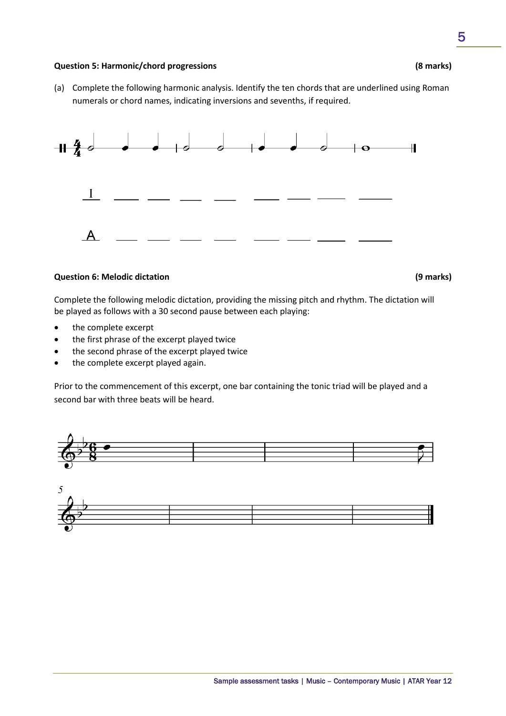#### **Question 5: Harmonic/chord progressions (8 marks)**

(a) Complete the following harmonic analysis. Identify the ten chords that are underlined using Roman numerals or chord names, indicating inversions and sevenths, if required.



### **Question 6: Melodic dictation (9 marks)**

Complete the following melodic dictation, providing the missing pitch and rhythm. The dictation will be played as follows with a 30 second pause between each playing:

- the complete excerpt
- the first phrase of the excerpt played twice
- the second phrase of the excerpt played twice
- the complete excerpt played again.

Prior to the commencement of this excerpt, one bar containing the tonic triad will be played and a second bar with three beats will be heard.

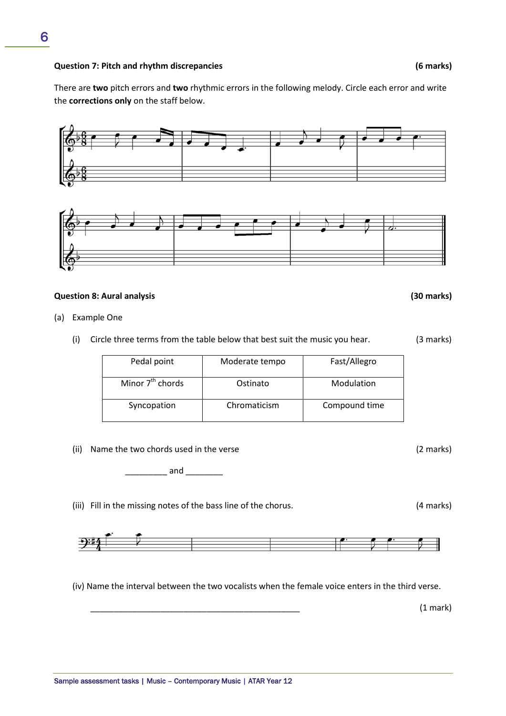#### **Question 7: Pitch and rhythm discrepancies (6 marks)**

6

There are **two** pitch errors and **two** rhythmic errors in the following melody. Circle each error and write the **corrections only** on the staff below.



# **Question 8: Aural analysis (30 marks)**

- (a) Example One
	- (i) Circle three terms from the table below that best suit the music you hear. (3 marks)

| Pedal point                  | Moderate tempo | Fast/Allegro  |
|------------------------------|----------------|---------------|
| Minor 7 <sup>th</sup> chords | Ostinato       | Modulation    |
| Syncopation                  | Chromaticism   | Compound time |

(ii) Name the two chords used in the verse (2 marks)

 $and$ 

(iii) Fill in the missing notes of the bass line of the chorus. (4 marks)



(iv) Name the interval between the two vocalists when the female voice enters in the third verse.

\_\_\_\_\_\_\_\_\_\_\_\_\_\_\_\_\_\_\_\_\_\_\_\_\_\_\_\_\_\_\_\_\_\_\_\_\_\_\_\_\_\_\_\_\_ (1 mark)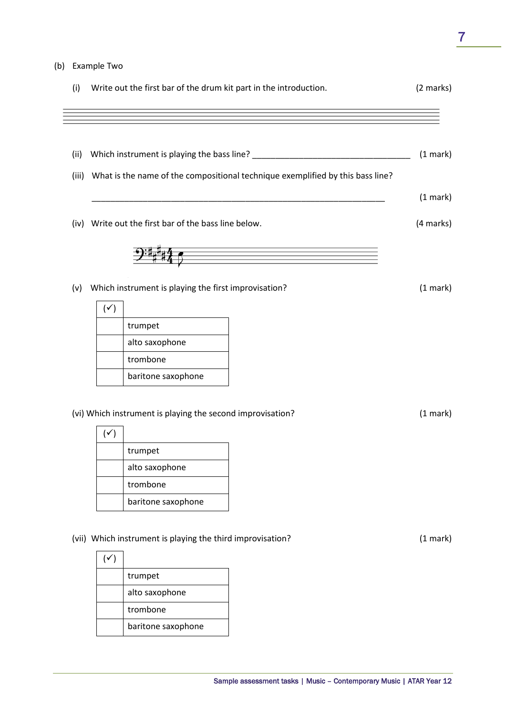# (b) Example Two

|     | Write out the first bar of the drum kit part in the introduction.                    | (2 marks) |
|-----|--------------------------------------------------------------------------------------|-----------|
|     |                                                                                      |           |
|     | (ii) Which instrument is playing the bass line? ________________________________     | (1 mark)  |
|     | (iii) What is the name of the compositional technique exemplified by this bass line? |           |
|     |                                                                                      | (1 mark)  |
|     | (iv) Write out the first bar of the bass line below.                                 | (4 marks) |
|     |                                                                                      |           |
|     |                                                                                      |           |
|     |                                                                                      |           |
| (v) | Which instrument is playing the first improvisation?                                 | (1 mark)  |
|     | $(\checkmark)$                                                                       |           |
|     | trumpet                                                                              |           |
|     | alto saxophone<br>trombone                                                           |           |
|     |                                                                                      |           |
|     | baritone saxophone                                                                   |           |
|     | (vi) Which instrument is playing the second improvisation?                           | (1 mark)  |
|     | $(\checkmark)$                                                                       |           |
|     | trumpet                                                                              |           |
|     | alto saxophone                                                                       |           |
|     | trombone                                                                             |           |
|     | baritone saxophone                                                                   |           |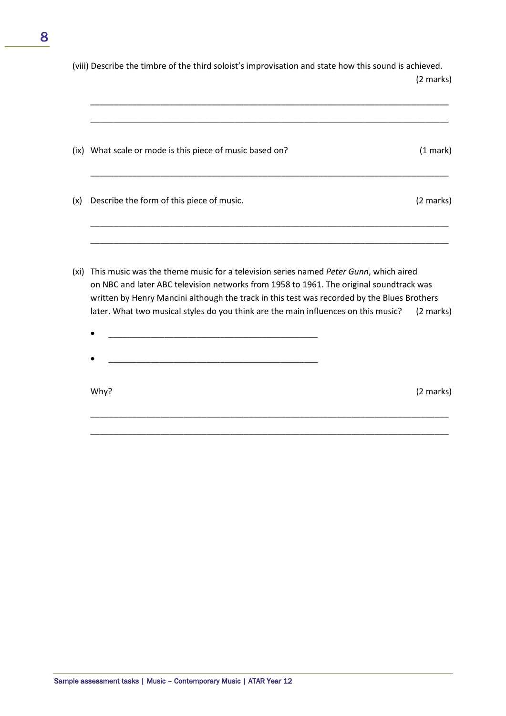(viii) Describe the timbre of the third soloist's improvisation and state how this sound is achieved. (2 marks)

\_\_\_\_\_\_\_\_\_\_\_\_\_\_\_\_\_\_\_\_\_\_\_\_\_\_\_\_\_\_\_\_\_\_\_\_\_\_\_\_\_\_\_\_\_\_\_\_\_\_\_\_\_\_\_\_\_\_\_\_\_\_\_\_\_\_\_\_\_\_\_\_\_\_\_\_\_

|     | (ix) What scale or mode is this piece of music based on? | $(1$ mark $)$ |
|-----|----------------------------------------------------------|---------------|
| (x) | Describe the form of this piece of music.                | (2 marks)     |
|     |                                                          |               |

(xi) This music was the theme music for a television series named *Peter Gunn*, which aired on NBC and later ABC television networks from 1958 to 1961. The original soundtrack was written by Henry Mancini although the track in this test was recorded by the Blues Brothers later. What two musical styles do you think are the main influences on this music? (2 marks)

\_\_\_\_\_\_\_\_\_\_\_\_\_\_\_\_\_\_\_\_\_\_\_\_\_\_\_\_\_\_\_\_\_\_\_\_\_\_\_\_\_\_\_\_\_\_\_\_\_\_\_\_\_\_\_\_\_\_\_\_\_\_\_\_\_\_\_\_\_\_\_\_\_\_\_\_\_

\_\_\_\_\_\_\_\_\_\_\_\_\_\_\_\_\_\_\_\_\_\_\_\_\_\_\_\_\_\_\_\_\_\_\_\_\_\_\_\_\_\_\_\_\_\_\_\_\_\_\_\_\_\_\_\_\_\_\_\_\_\_\_\_\_\_\_\_\_\_\_\_\_\_\_\_\_

- $\bullet$   $\qquad \qquad \qquad \qquad \qquad \qquad \qquad \qquad \qquad \qquad \qquad \qquad \qquad \qquad \qquad \qquad \qquad \qquad \qquad \qquad \qquad \qquad \qquad \qquad \qquad \qquad \qquad \qquad \qquad \qquad \qquad \qquad \qquad \qquad \qquad \qquad \qquad \qquad \qquad \qquad \qquad \qquad \qquad \q$
- 

Why? (2 marks)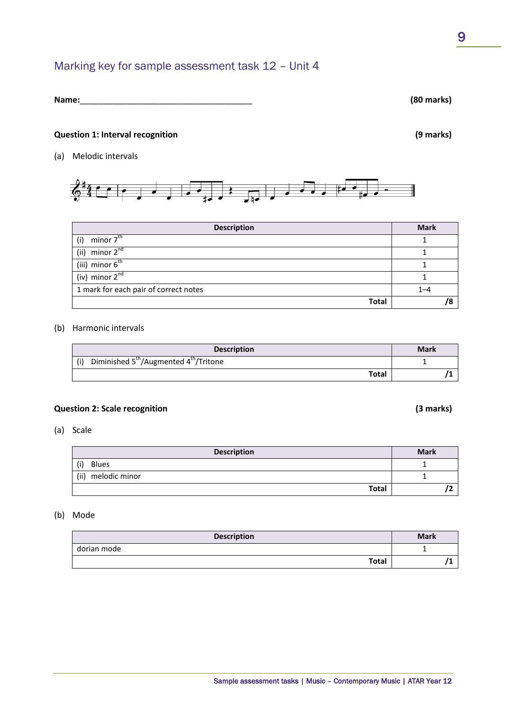# Marking key for sample assessment task 12 – Unit 4

# **Name:**\_\_\_\_\_\_\_\_\_\_\_\_\_\_\_\_\_\_\_\_\_\_\_\_\_\_\_\_\_\_\_\_\_\_\_\_\_ **(80 marks)**

#### **Question 1: Interval recognition (9 marks)**

(a) Melodic intervals



| <b>Description</b>                    | <b>Mark</b> |
|---------------------------------------|-------------|
| minor 7 <sup>th</sup><br>(i)          |             |
| (ii) minor $2^{nd}$                   |             |
| (iii) minor $6^{th}$                  |             |
| (iv) minor $2^{nd}$                   |             |
| 1 mark for each pair of correct notes | $1 - 4$     |
| <b>Total</b>                          |             |

#### (b) Harmonic intervals

| <b>Description</b>                                                    | <b>Mark</b> |
|-----------------------------------------------------------------------|-------------|
| Diminished 5 <sup>th</sup> /Augmented 4 <sup>th</sup> /Tritone<br>(i) |             |
| <b>Total</b>                                                          |             |

### **Question 2: Scale recognition (3 marks)**

(a) Scale

| <b>Description</b>    | <b>Mark</b> |
|-----------------------|-------------|
| (i)<br><b>Blues</b>   |             |
| (ii)<br>melodic minor |             |
| <b>Total</b>          |             |

#### (b) Mode

| <b>Description</b> | <b>Mark</b> |
|--------------------|-------------|
| dorian mode        |             |
| <b>Total</b>       |             |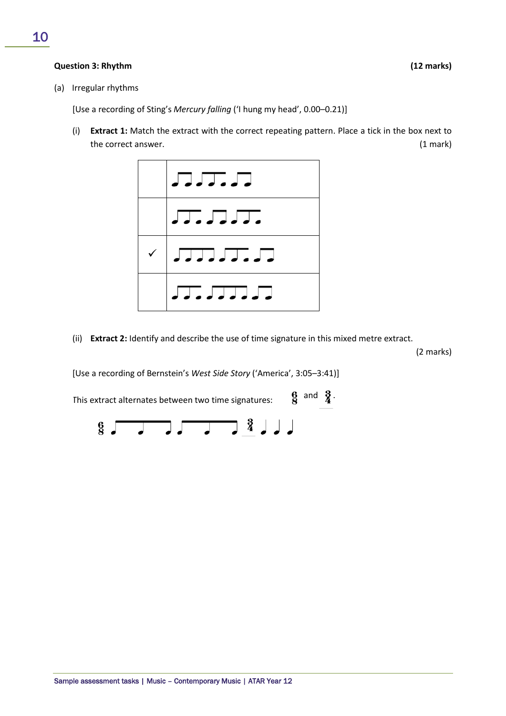### **Question 3: Rhythm (12 marks)**

(a) Irregular rhythms

[Use a recording of Sting's *Mercury falling* ('I hung my head', 0.00–0.21)]

(i) **Extract 1:** Match the extract with the correct repeating pattern. Place a tick in the box next to the correct answer. (1 mark)



(ii) **Extract 2:** Identify and describe the use of time signature in this mixed metre extract.

(2 marks)

[Use a recording of Bernstein's *West Side Story* ('America', 3:05–3:41)]

This extract alternates between two time signatures:  $\begin{matrix} 6 \\ 8 \end{matrix}$  and  $\begin{matrix} 3 \\ 4 \end{matrix}$ 

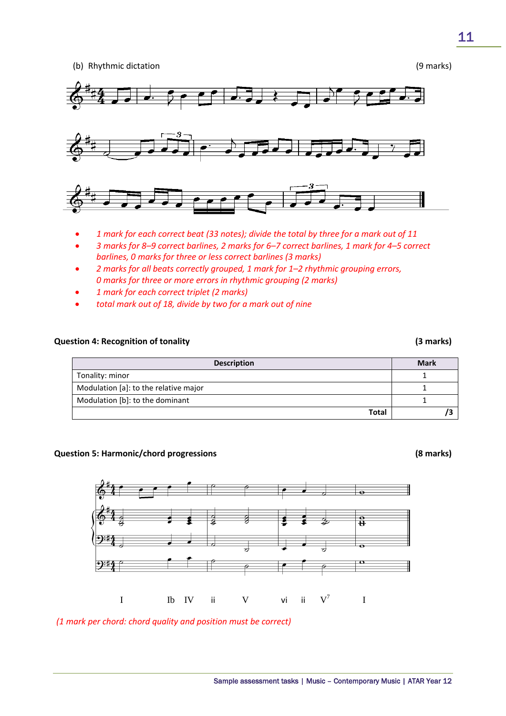(b) Rhythmic dictation (9 marks)



- *1 mark for each correct beat (33 notes); divide the total by three for a mark out of 11*
- *3 marks for 8–9 correct barlines, 2 marks for 6–7 correct barlines, 1 mark for 4–5 correct barlines, 0 marks for three or less correct barlines (3 marks)*
- *2 marks for all beats correctly grouped, 1 mark for 1–2 rhythmic grouping errors, 0 marks for three or more errors in rhythmic grouping (2 marks)*
- *1 mark for each correct triplet (2 marks)*
- *total mark out of 18, divide by two for a mark out of nine*

### **Question 4: Recognition of tonality (3 marks)**

# **Description Mark Mark** Tonality: minor 1 and 1 and 1 and 1 and 1 and 1 and 1 and 1 and 1 and 1 and 1 and 1 and 1 and 1 and 1 and 1 and 1 and 1 and 1 and 1 and 1 and 1 and 1 and 1 and 1 and 1 and 1 and 1 and 1 and 1 and 1 and 1 and 1 and 1 and 1 Modulation [a]: to the relative major 1 Modulation [b]: to the dominant 1 **Total /3**

### **Question 5: Harmonic/chord progressions (8 marks)**



*(1 mark per chord: chord quality and position must be correct)*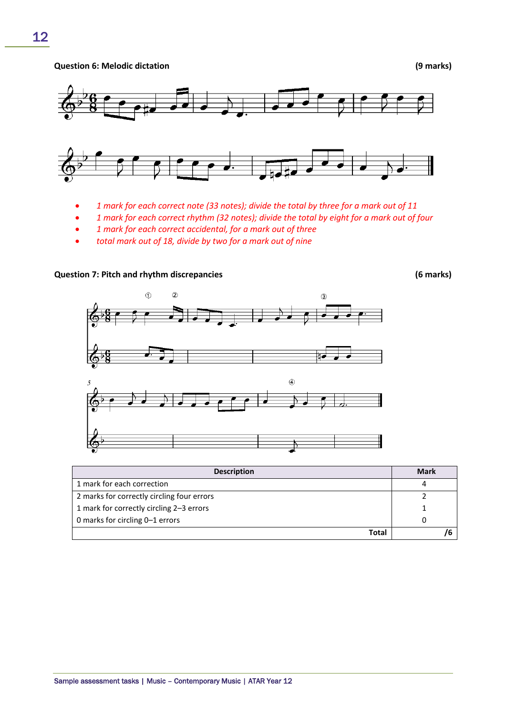**Question 6: Melodic dictation (9 marks)**



- *1 mark for each correct note (33 notes); divide the total by three for a mark out of 11*
- *1 mark for each correct rhythm (32 notes); divide the total by eight for a mark out of four*
- *1 mark for each correct accidental, for a mark out of three*
- *total mark out of 18, divide by two for a mark out of nine*

**Question 7: Pitch and rhythm discrepancies (6 marks)** 

 $\overline{a}$  $\circled{2}$  $\circled{3}$  $\circledA$ -5

| <b>Description</b>                         | <b>Mark</b> |
|--------------------------------------------|-------------|
| 1 mark for each correction                 |             |
| 2 marks for correctly circling four errors |             |
| 1 mark for correctly circling 2-3 errors   |             |
| 0 marks for circling 0–1 errors            | 0           |
| <b>Total</b>                               |             |

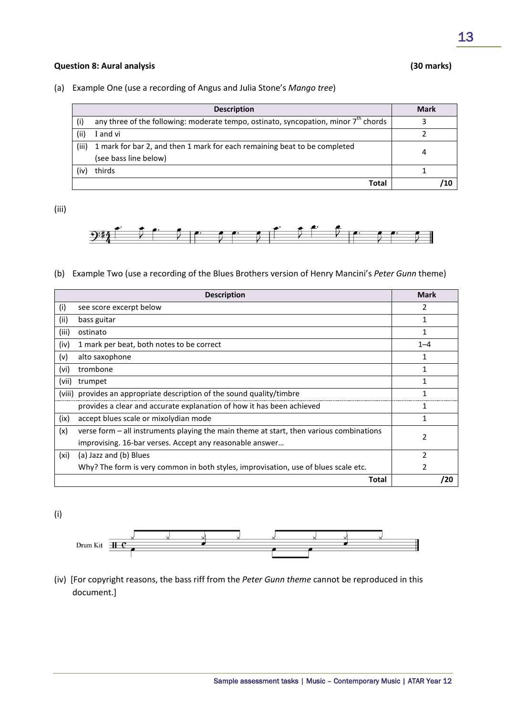#### **Question 8: Aural analysis (30 marks)**

(a) Example One (use a recording of Angus and Julia Stone's *Mango tree*)

|       | <b>Description</b>                                                                                 | <b>Mark</b> |
|-------|----------------------------------------------------------------------------------------------------|-------------|
| (i)   | any three of the following: moderate tempo, ostinato, syncopation, minor $7th$ chords              |             |
| (ii)  | I and vi                                                                                           |             |
| (iii) | 1 mark for bar 2, and then 1 mark for each remaining beat to be completed<br>(see bass line below) |             |
| (iv)  | thirds                                                                                             |             |
|       | Total                                                                                              |             |

(iii)



(b) Example Two (use a recording of the Blues Brothers version of Henry Mancini's *Peter Gunn* theme)

|       | <b>Description</b>                                                                        | <b>Mark</b> |
|-------|-------------------------------------------------------------------------------------------|-------------|
| (i)   | see score excerpt below                                                                   |             |
| (ii)  | bass guitar                                                                               | 1           |
| (iii) | ostinato                                                                                  | 1           |
| (iv)  | 1 mark per beat, both notes to be correct                                                 | $1 - 4$     |
| (v)   | alto saxophone                                                                            | 1           |
| (vi)  | trombone                                                                                  | 1           |
| (vii) | trumpet                                                                                   |             |
|       | (viii) provides an appropriate description of the sound quality/timbre                    | 1           |
|       | provides a clear and accurate explanation of how it has been achieved                     |             |
| (ix)  | accept blues scale or mixolydian mode                                                     |             |
| (x)   | verse form $-$ all instruments playing the main theme at start, then various combinations |             |
|       | improvising. 16-bar verses. Accept any reasonable answer                                  |             |
| (xi)  | (a) Jazz and (b) Blues                                                                    |             |
|       | Why? The form is very common in both styles, improvisation, use of blues scale etc.       | 2           |
|       | Total                                                                                     | /20         |

(i)



(iv) [For copyright reasons, the bass riff from the *Peter Gunn theme* cannot be reproduced in this document.]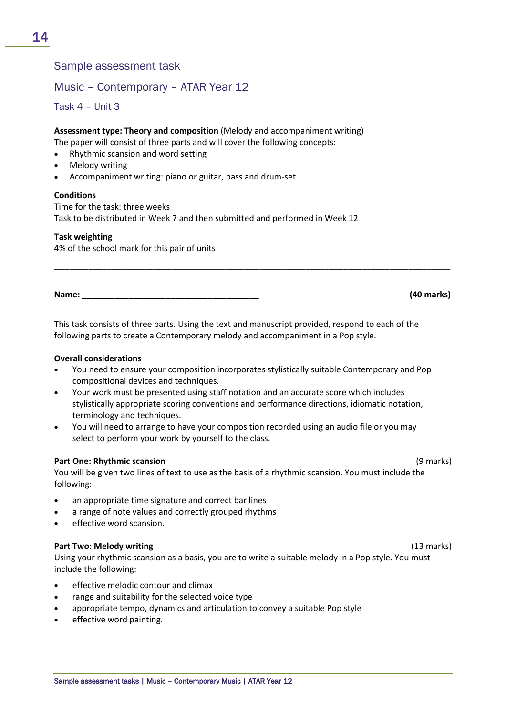# Sample assessment task

# Music – Contemporary – ATAR Year 12

Task 4 – Unit 3

**Assessment type: Theory and composition** (Melody and accompaniment writing) The paper will consist of three parts and will cover the following concepts:

- Rhythmic scansion and word setting
- Melody writing
- Accompaniment writing: piano or guitar, bass and drum-set.

### **Conditions**

Time for the task: three weeks Task to be distributed in Week 7 and then submitted and performed in Week 12

### **Task weighting**

4% of the school mark for this pair of units

**Name: \_\_\_\_\_\_\_\_\_\_\_\_\_\_\_\_\_\_\_\_\_\_\_\_\_\_\_\_\_\_\_\_\_\_\_\_\_\_ (40 marks)**

This task consists of three parts. Using the text and manuscript provided, respond to each of the following parts to create a Contemporary melody and accompaniment in a Pop style.

\_\_\_\_\_\_\_\_\_\_\_\_\_\_\_\_\_\_\_\_\_\_\_\_\_\_\_\_\_\_\_\_\_\_\_\_\_\_\_\_\_\_\_\_\_\_\_\_\_\_\_\_\_\_\_\_\_\_\_\_\_\_\_\_\_\_\_\_\_\_\_\_\_\_\_\_\_\_\_\_\_\_\_\_\_\_\_\_\_\_\_\_\_\_\_\_\_\_\_\_\_\_\_\_

#### **Overall considerations**

- You need to ensure your composition incorporates stylistically suitable Contemporary and Pop compositional devices and techniques.
- Your work must be presented using staff notation and an accurate score which includes stylistically appropriate scoring conventions and performance directions, idiomatic notation, terminology and techniques.
- You will need to arrange to have your composition recorded using an audio file or you may select to perform your work by yourself to the class.

### **Part One: Rhythmic scansion** (9 marks)

You will be given two lines of text to use as the basis of a rhythmic scansion. You must include the following:

- an appropriate time signature and correct bar lines
- a range of note values and correctly grouped rhythms
- effective word scansion.

### **Part Two: Melody writing** (13 marks)

Using your rhythmic scansion as a basis, you are to write a suitable melody in a Pop style. You must include the following:

- effective melodic contour and climax
- range and suitability for the selected voice type
- appropriate tempo, dynamics and articulation to convey a suitable Pop style
- effective word painting.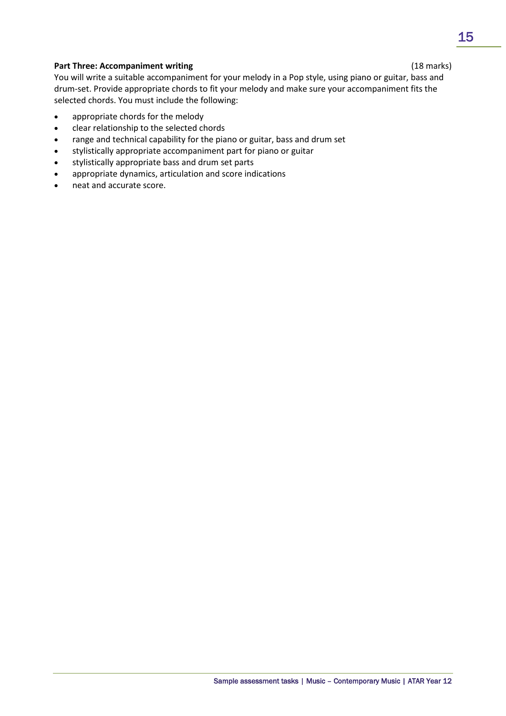# **Part Three: Accompaniment writing** (18 marks)

You will write a suitable accompaniment for your melody in a Pop style, using piano or guitar, bass and drum-set. Provide appropriate chords to fit your melody and make sure your accompaniment fits the selected chords. You must include the following:

- appropriate chords for the melody
- clear relationship to the selected chords
- range and technical capability for the piano or guitar, bass and drum set
- stylistically appropriate accompaniment part for piano or guitar
- stylistically appropriate bass and drum set parts
- appropriate dynamics, articulation and score indications
- neat and accurate score.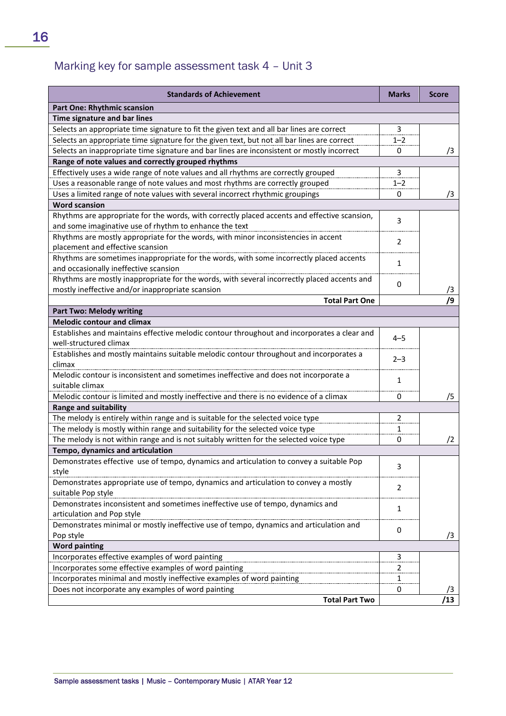# Marking key for sample assessment task 4 – Unit 3

| <b>Standards of Achievement</b>                                                                                                  | <b>Marks</b>   | <b>Score</b> |
|----------------------------------------------------------------------------------------------------------------------------------|----------------|--------------|
| <b>Part One: Rhythmic scansion</b>                                                                                               |                |              |
| Time signature and bar lines                                                                                                     |                |              |
| Selects an appropriate time signature to fit the given text and all bar lines are correct                                        | 3              |              |
| Selects an appropriate time signature for the given text, but not all bar lines are correct                                      | $1 - 2$        |              |
| Selects an inappropriate time signature and bar lines are inconsistent or mostly incorrect                                       | 0              | /3           |
| Range of note values and correctly grouped rhythms                                                                               |                |              |
| Effectively uses a wide range of note values and all rhythms are correctly grouped                                               | 3              |              |
| Uses a reasonable range of note values and most rhythms are correctly grouped                                                    | $1 - 2$        |              |
| Uses a limited range of note values with several incorrect rhythmic groupings                                                    | 0              | /3           |
| <b>Word scansion</b>                                                                                                             |                |              |
| Rhythms are appropriate for the words, with correctly placed accents and effective scansion,                                     | 3              |              |
| and some imaginative use of rhythm to enhance the text                                                                           |                |              |
| Rhythms are mostly appropriate for the words, with minor inconsistencies in accent                                               | $\overline{2}$ |              |
| placement and effective scansion                                                                                                 |                |              |
| Rhythms are sometimes inappropriate for the words, with some incorrectly placed accents<br>and occasionally ineffective scansion | $\mathbf{1}$   |              |
| Rhythms are mostly inappropriate for the words, with several incorrectly placed accents and                                      |                |              |
| mostly ineffective and/or inappropriate scansion                                                                                 | 0              | /3           |
| <b>Total Part One</b>                                                                                                            |                | /9           |
| <b>Part Two: Melody writing</b>                                                                                                  |                |              |
| <b>Melodic contour and climax</b>                                                                                                |                |              |
| Establishes and maintains effective melodic contour throughout and incorporates a clear and                                      | $4 - 5$        |              |
| well-structured climax                                                                                                           |                |              |
| Establishes and mostly maintains suitable melodic contour throughout and incorporates a                                          | $2 - 3$        |              |
| climax                                                                                                                           |                |              |
| Melodic contour is inconsistent and sometimes ineffective and does not incorporate a                                             | $\mathbf{1}$   |              |
| suitable climax                                                                                                                  |                |              |
| Melodic contour is limited and mostly ineffective and there is no evidence of a climax                                           | 0              | /5           |
| <b>Range and suitability</b>                                                                                                     |                |              |
| The melody is entirely within range and is suitable for the selected voice type                                                  | 2              |              |
| The melody is mostly within range and suitability for the selected voice type                                                    | 1              |              |
| The melody is not within range and is not suitably written for the selected voice type                                           | 0              | $\sqrt{2}$   |
| Tempo, dynamics and articulation                                                                                                 |                |              |
| Demonstrates effective use of tempo, dynamics and articulation to convey a suitable Pop<br>style                                 | 3              |              |
| Demonstrates appropriate use of tempo, dynamics and articulation to convey a mostly                                              |                |              |
| suitable Pop style                                                                                                               | $\overline{2}$ |              |
| Demonstrates inconsistent and sometimes ineffective use of tempo, dynamics and                                                   |                |              |
| articulation and Pop style                                                                                                       | $\mathbf{1}$   |              |
| Demonstrates minimal or mostly ineffective use of tempo, dynamics and articulation and                                           |                |              |
| Pop style                                                                                                                        | 0              | /3           |
| <b>Word painting</b>                                                                                                             |                |              |
| Incorporates effective examples of word painting                                                                                 | 3              |              |
| Incorporates some effective examples of word painting                                                                            | 2              |              |
| Incorporates minimal and mostly ineffective examples of word painting                                                            | 1              |              |
| Does not incorporate any examples of word painting                                                                               | 0              | /3           |
| <b>Total Part Two</b>                                                                                                            |                | /13          |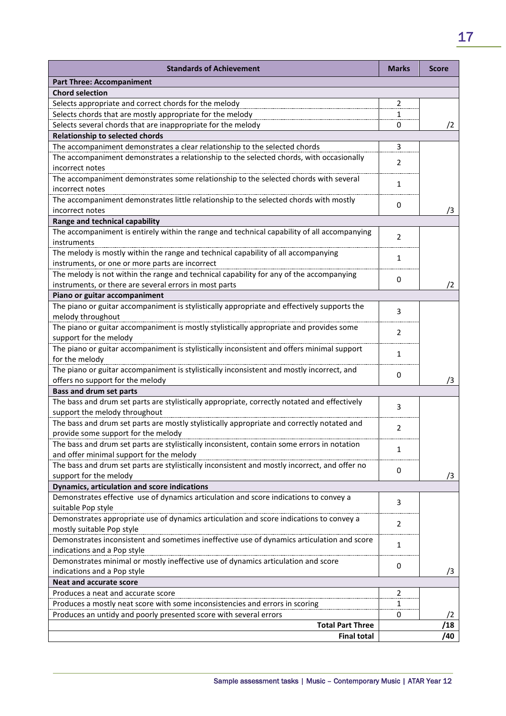| <b>Standards of Achievement</b>                                                               | <b>Marks</b>   | <b>Score</b> |
|-----------------------------------------------------------------------------------------------|----------------|--------------|
| <b>Part Three: Accompaniment</b>                                                              |                |              |
| <b>Chord selection</b>                                                                        |                |              |
| Selects appropriate and correct chords for the melody                                         | 2              |              |
| Selects chords that are mostly appropriate for the melody                                     | 1              |              |
| Selects several chords that are inappropriate for the melody                                  | 0              | $\sqrt{2}$   |
| <b>Relationship to selected chords</b>                                                        |                |              |
| The accompaniment demonstrates a clear relationship to the selected chords                    | 3              |              |
| The accompaniment demonstrates a relationship to the selected chords, with occasionally       | $\overline{2}$ |              |
| incorrect notes                                                                               |                |              |
| The accompaniment demonstrates some relationship to the selected chords with several          |                |              |
| incorrect notes                                                                               | 1              |              |
| The accompaniment demonstrates little relationship to the selected chords with mostly         |                |              |
| incorrect notes                                                                               | 0              | /3           |
| Range and technical capability                                                                |                |              |
| The accompaniment is entirely within the range and technical capability of all accompanying   |                |              |
| instruments                                                                                   | 2              |              |
| The melody is mostly within the range and technical capability of all accompanying            |                |              |
| instruments, or one or more parts are incorrect                                               | 1              |              |
| The melody is not within the range and technical capability for any of the accompanying       |                |              |
| instruments, or there are several errors in most parts                                        | 0              | /2           |
| Piano or guitar accompaniment                                                                 |                |              |
| The piano or guitar accompaniment is stylistically appropriate and effectively supports the   |                |              |
| melody throughout                                                                             | 3              |              |
| The piano or guitar accompaniment is mostly stylistically appropriate and provides some       |                |              |
| support for the melody                                                                        | $\overline{2}$ |              |
| The piano or guitar accompaniment is stylistically inconsistent and offers minimal support    |                |              |
| for the melody                                                                                | 1              |              |
| The piano or guitar accompaniment is stylistically inconsistent and mostly incorrect, and     |                |              |
| offers no support for the melody                                                              | 0              | /3           |
| <b>Bass and drum set parts</b>                                                                |                |              |
| The bass and drum set parts are stylistically appropriate, correctly notated and effectively  |                |              |
| support the melody throughout                                                                 | 3              |              |
| The bass and drum set parts are mostly stylistically appropriate and correctly notated and    |                |              |
| provide some support for the melody                                                           | 2              |              |
| The bass and drum set parts are stylistically inconsistent, contain some errors in notation   | 1              |              |
| and offer minimal support for the melody                                                      |                |              |
| The bass and drum set parts are stylistically inconsistent and mostly incorrect, and offer no | 0              |              |
| support for the melody                                                                        |                | /3           |
| Dynamics, articulation and score indications                                                  |                |              |
| Demonstrates effective use of dynamics articulation and score indications to convey a         | 3              |              |
| suitable Pop style                                                                            |                |              |
| Demonstrates appropriate use of dynamics articulation and score indications to convey a       | $\overline{2}$ |              |
| mostly suitable Pop style                                                                     |                |              |
| Demonstrates inconsistent and sometimes ineffective use of dynamics articulation and score    | $\mathbf{1}$   |              |
| indications and a Pop style                                                                   |                |              |
| Demonstrates minimal or mostly ineffective use of dynamics articulation and score             | 0              |              |
| indications and a Pop style                                                                   |                | /3           |
| <b>Neat and accurate score</b>                                                                |                |              |
| Produces a neat and accurate score                                                            | $\overline{2}$ |              |
| Produces a mostly neat score with some inconsistencies and errors in scoring                  | 1              |              |
| Produces an untidy and poorly presented score with several errors                             | 0              | /2           |
| <b>Total Part Three</b>                                                                       |                | /18          |
| <b>Final total</b>                                                                            |                | /40          |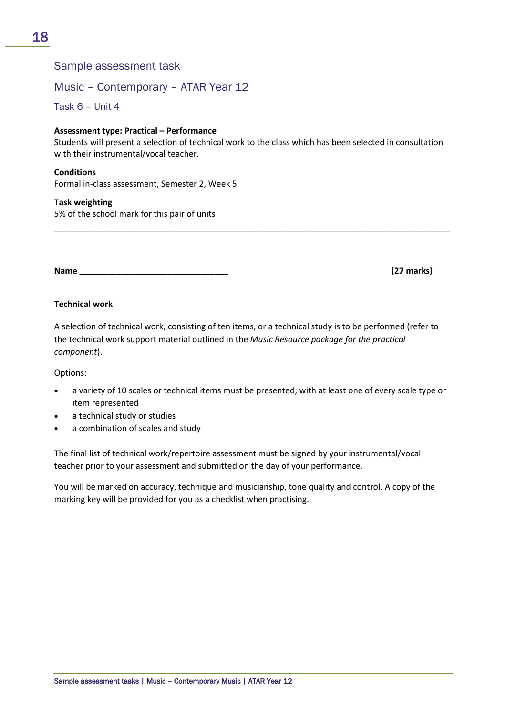# Sample assessment task

# Music – Contemporary – ATAR Year 12

Task 6 – Unit 4

### **Assessment type: Practical – Performance**

Students will present a selection of technical work to the class which has been selected in consultation with their instrumental/vocal teacher.

\_\_\_\_\_\_\_\_\_\_\_\_\_\_\_\_\_\_\_\_\_\_\_\_\_\_\_\_\_\_\_\_\_\_\_\_\_\_\_\_\_\_\_\_\_\_\_\_\_\_\_\_\_\_\_\_\_\_\_\_\_\_\_\_\_\_\_\_\_\_\_\_\_\_\_\_\_\_\_\_\_\_\_\_\_\_\_\_\_\_\_\_\_\_\_\_\_\_\_\_\_\_\_\_

### **Conditions**

Formal in-class assessment, Semester 2, Week 5

### **Task weighting**

5% of the school mark for this pair of units

#### **Name \_\_\_\_\_\_\_\_\_\_\_\_\_\_\_\_\_\_\_\_\_\_\_\_\_\_\_\_\_\_\_\_ (27 marks)**

# **Technical work**

A selection of technical work, consisting of ten items, or a technical study is to be performed (refer to the technical work support material outlined in the *Music Resource package for the practical component*).

Options:

- a variety of 10 scales or technical items must be presented, with at least one of every scale type or item represented
- a technical study or studies
- a combination of scales and study

The final list of technical work/repertoire assessment must be signed by your instrumental/vocal teacher prior to your assessment and submitted on the day of your performance.

You will be marked on accuracy, technique and musicianship, tone quality and control. A copy of the marking key will be provided for you as a checklist when practising.

18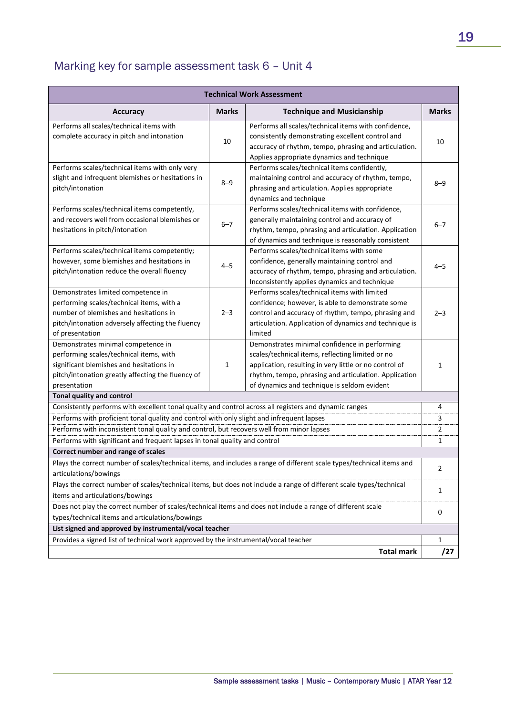# Marking key for sample assessment task 6 – Unit 4

| <b>Technical Work Assessment</b>                                                                                                                                                                 |                                                                                                                       |                                                                                                                                                                                                                                                                     |                |
|--------------------------------------------------------------------------------------------------------------------------------------------------------------------------------------------------|-----------------------------------------------------------------------------------------------------------------------|---------------------------------------------------------------------------------------------------------------------------------------------------------------------------------------------------------------------------------------------------------------------|----------------|
| <b>Accuracy</b>                                                                                                                                                                                  | <b>Marks</b>                                                                                                          | <b>Technique and Musicianship</b>                                                                                                                                                                                                                                   | <b>Marks</b>   |
| Performs all scales/technical items with<br>complete accuracy in pitch and intonation                                                                                                            | 10                                                                                                                    | Performs all scales/technical items with confidence,<br>consistently demonstrating excellent control and<br>accuracy of rhythm, tempo, phrasing and articulation.<br>Applies appropriate dynamics and technique                                                     | 10             |
| Performs scales/technical items with only very<br>slight and infrequent blemishes or hesitations in<br>pitch/intonation                                                                          | $8 - 9$                                                                                                               | Performs scales/technical items confidently,<br>maintaining control and accuracy of rhythm, tempo,<br>phrasing and articulation. Applies appropriate<br>dynamics and technique                                                                                      | 8–9            |
| Performs scales/technical items competently,<br>and recovers well from occasional blemishes or<br>hesitations in pitch/intonation                                                                | $6 - 7$                                                                                                               | Performs scales/technical items with confidence,<br>generally maintaining control and accuracy of<br>rhythm, tempo, phrasing and articulation. Application<br>of dynamics and technique is reasonably consistent                                                    | $6 - 7$        |
| Performs scales/technical items competently;<br>however, some blemishes and hesitations in<br>pitch/intonation reduce the overall fluency                                                        | $4 - 5$                                                                                                               | Performs scales/technical items with some<br>confidence, generally maintaining control and<br>accuracy of rhythm, tempo, phrasing and articulation.<br>Inconsistently applies dynamics and technique                                                                | 4–5            |
| Demonstrates limited competence in<br>performing scales/technical items, with a<br>number of blemishes and hesitations in<br>pitch/intonation adversely affecting the fluency<br>of presentation | $2 - 3$                                                                                                               | Performs scales/technical items with limited<br>confidence; however, is able to demonstrate some<br>control and accuracy of rhythm, tempo, phrasing and<br>articulation. Application of dynamics and technique is<br>limited                                        | $2 - 3$        |
| Demonstrates minimal competence in<br>performing scales/technical items, with<br>significant blemishes and hesitations in<br>pitch/intonation greatly affecting the fluency of<br>presentation   | 1                                                                                                                     | Demonstrates minimal confidence in performing<br>scales/technical items, reflecting limited or no<br>application, resulting in very little or no control of<br>rhythm, tempo, phrasing and articulation. Application<br>of dynamics and technique is seldom evident | 1              |
| Tonal quality and control                                                                                                                                                                        |                                                                                                                       |                                                                                                                                                                                                                                                                     |                |
| Consistently performs with excellent tonal quality and control across all registers and dynamic ranges                                                                                           |                                                                                                                       |                                                                                                                                                                                                                                                                     | 4              |
| Performs with proficient tonal quality and control with only slight and infrequent lapses                                                                                                        |                                                                                                                       |                                                                                                                                                                                                                                                                     | 3              |
| Performs with inconsistent tonal quality and control, but recovers well from minor lapses                                                                                                        |                                                                                                                       |                                                                                                                                                                                                                                                                     | $\overline{2}$ |
| Performs with significant and frequent lapses in tonal quality and control                                                                                                                       |                                                                                                                       |                                                                                                                                                                                                                                                                     | 1              |
| Correct number and range of scales                                                                                                                                                               |                                                                                                                       |                                                                                                                                                                                                                                                                     |                |
| articulations/bowings                                                                                                                                                                            | Plays the correct number of scales/technical items, and includes a range of different scale types/technical items and |                                                                                                                                                                                                                                                                     |                |
| Plays the correct number of scales/technical items, but does not include a range of different scale types/technical<br>items and articulations/bowings                                           |                                                                                                                       |                                                                                                                                                                                                                                                                     | 1              |
| Does not play the correct number of scales/technical items and does not include a range of different scale                                                                                       |                                                                                                                       |                                                                                                                                                                                                                                                                     | 0              |
| types/technical items and articulations/bowings                                                                                                                                                  |                                                                                                                       |                                                                                                                                                                                                                                                                     |                |
| List signed and approved by instrumental/vocal teacher                                                                                                                                           |                                                                                                                       |                                                                                                                                                                                                                                                                     |                |
| Provides a signed list of technical work approved by the instrumental/vocal teacher                                                                                                              |                                                                                                                       |                                                                                                                                                                                                                                                                     | 1              |
|                                                                                                                                                                                                  |                                                                                                                       | <b>Total mark</b>                                                                                                                                                                                                                                                   | /27            |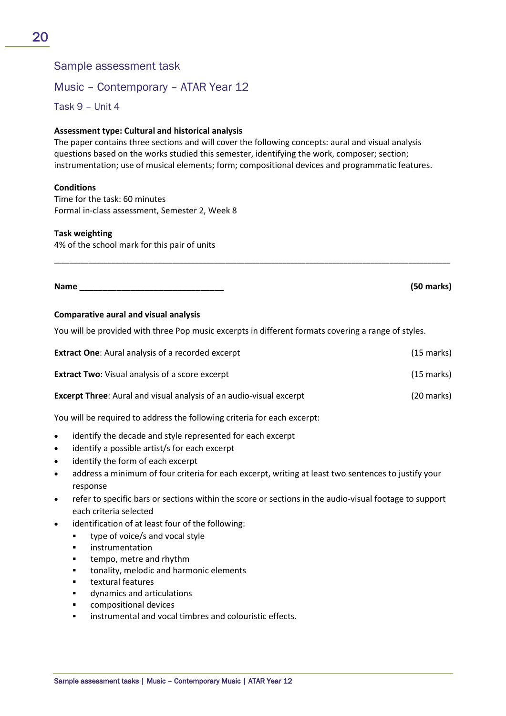# Sample assessment task

# Music – Contemporary – ATAR Year 12

Task 9 – Unit 4

# **Assessment type: Cultural and historical analysis**

The paper contains three sections and will cover the following concepts: aural and visual analysis questions based on the works studied this semester, identifying the work, composer; section; instrumentation; use of musical elements; form; compositional devices and programmatic features.

### **Conditions**

Time for the task: 60 minutes Formal in-class assessment, Semester 2, Week 8

### **Task weighting**

4% of the school mark for this pair of units

**Name \_\_\_\_\_\_\_\_\_\_\_\_\_\_\_\_\_\_\_\_\_\_\_\_\_\_\_\_\_\_\_ (50 marks)**

### **Comparative aural and visual analysis**

You will be provided with three Pop music excerpts in different formats covering a range of styles.

| <b>Extract One:</b> Aural analysis of a recorded excerpt                   | $(15 \text{ marks})$ |
|----------------------------------------------------------------------------|----------------------|
| <b>Extract Two:</b> Visual analysis of a score excerpt                     | $(15 \text{ marks})$ |
| <b>Excerpt Three:</b> Aural and visual analysis of an audio-visual excerpt | $(20$ marks)         |

\_\_\_\_\_\_\_\_\_\_\_\_\_\_\_\_\_\_\_\_\_\_\_\_\_\_\_\_\_\_\_\_\_\_\_\_\_\_\_\_\_\_\_\_\_\_\_\_\_\_\_\_\_\_\_\_\_\_\_\_\_\_\_\_\_\_\_\_\_\_\_\_\_\_\_\_\_\_\_\_\_\_\_\_\_\_\_\_\_\_\_\_\_\_\_\_\_\_\_\_\_\_\_\_

You will be required to address the following criteria for each excerpt:

- identify the decade and style represented for each excerpt
- identify a possible artist/s for each excerpt
- identify the form of each excerpt
- address a minimum of four criteria for each excerpt, writing at least two sentences to justify your response
- refer to specific bars or sections within the score or sections in the audio-visual footage to support each criteria selected
- identification of at least four of the following:
	- **type of voice/s and vocal style**
	- **·** instrumentation
	- tempo, metre and rhythm
	- tonality, melodic and harmonic elements
	- textural features
	- dynamics and articulations
	- compositional devices
	- instrumental and vocal timbres and colouristic effects.

20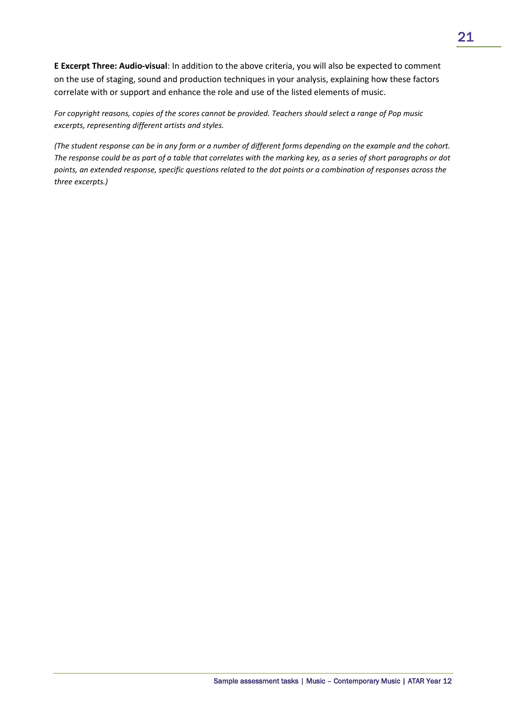**E Excerpt Three: Audio-visual**: In addition to the above criteria, you will also be expected to comment on the use of staging, sound and production techniques in your analysis, explaining how these factors correlate with or support and enhance the role and use of the listed elements of music.

*For copyright reasons, copies of the scores cannot be provided. Teachers should select a range of Pop music excerpts, representing different artists and styles.*

*(The student response can be in any form or a number of different forms depending on the example and the cohort. The response could be as part of a table that correlates with the marking key, as a series of short paragraphs or dot points, an extended response, specific questions related to the dot points or a combination of responses across the three excerpts.)*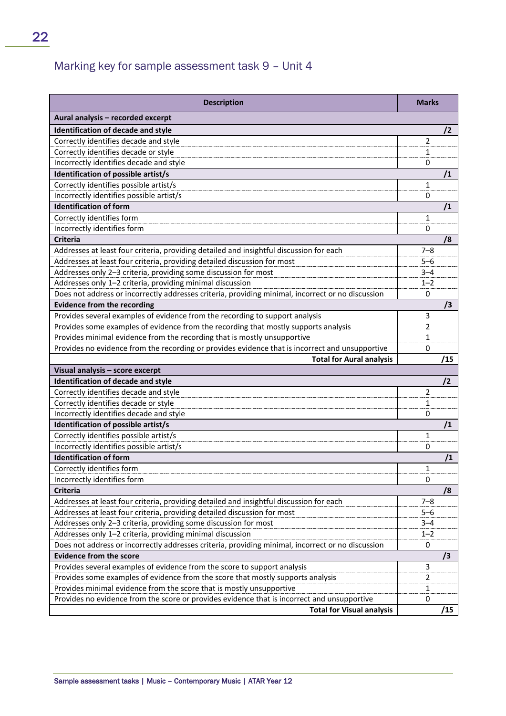# Marking key for sample assessment task 9 – Unit 4

| <b>Description</b>                                                                                | <b>Marks</b>   |
|---------------------------------------------------------------------------------------------------|----------------|
| Aural analysis - recorded excerpt                                                                 |                |
| Identification of decade and style                                                                | /2             |
| Correctly identifies decade and style                                                             | 2              |
| Correctly identifies decade or style                                                              | 1              |
| Incorrectly identifies decade and style                                                           | 0              |
| Identification of possible artist/s                                                               | /1             |
| Correctly identifies possible artist/s                                                            | 1              |
| Incorrectly identifies possible artist/s                                                          | 0              |
| <b>Identification of form</b>                                                                     | /1             |
| Correctly identifies form                                                                         | $\mathbf{1}$   |
| Incorrectly identifies form                                                                       | 0              |
| <b>Criteria</b>                                                                                   | /8             |
| Addresses at least four criteria, providing detailed and insightful discussion for each           | $7 - 8$        |
| Addresses at least four criteria, providing detailed discussion for most                          | $5 - 6$        |
| Addresses only 2-3 criteria, providing some discussion for most                                   | $3 - 4$        |
| Addresses only 1-2 criteria, providing minimal discussion                                         | $1 - 2$        |
| Does not address or incorrectly addresses criteria, providing minimal, incorrect or no discussion | $\mathbf 0$    |
| <b>Evidence from the recording</b>                                                                | /3             |
| Provides several examples of evidence from the recording to support analysis                      | 3              |
| Provides some examples of evidence from the recording that mostly supports analysis               | 2              |
| Provides minimal evidence from the recording that is mostly unsupportive                          | 1              |
| Provides no evidence from the recording or provides evidence that is incorrect and unsupportive   | 0              |
| <b>Total for Aural analysis</b>                                                                   | /15            |
| Visual analysis - score excerpt                                                                   |                |
| <b>Identification of decade and style</b>                                                         | /2             |
| Correctly identifies decade and style                                                             | $\overline{2}$ |
| Correctly identifies decade or style                                                              | 1              |
| Incorrectly identifies decade and style                                                           | 0              |
| Identification of possible artist/s                                                               | /1             |
| Correctly identifies possible artist/s                                                            | $\mathbf{1}$   |
| Incorrectly identifies possible artist/s                                                          | 0              |
| <b>Identification of form</b>                                                                     | /1             |
| Correctly identifies form                                                                         | 1              |
| Incorrectly identifies form                                                                       | $\mathbf 0$    |
| Criteria                                                                                          | /8             |
| Addresses at least four criteria, providing detailed and insightful discussion for each           | $7 - 8$        |
| Addresses at least four criteria, providing detailed discussion for most                          | $5 - 6$        |
| Addresses only 2-3 criteria, providing some discussion for most                                   | $3 - 4$        |
| Addresses only 1-2 criteria, providing minimal discussion                                         | $1 - 2$        |
| Does not address or incorrectly addresses criteria, providing minimal, incorrect or no discussion | 0              |
| <b>Evidence from the score</b>                                                                    | /3             |
| Provides several examples of evidence from the score to support analysis                          | $\mathsf 3$    |
| Provides some examples of evidence from the score that mostly supports analysis                   | $\overline{2}$ |
| Provides minimal evidence from the score that is mostly unsupportive                              | 1              |
| Provides no evidence from the score or provides evidence that is incorrect and unsupportive       | 0              |
| <b>Total for Visual analysis</b>                                                                  | /15            |